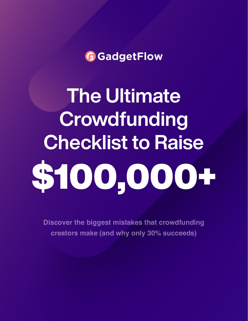**G** GadgetFlow

The Ultimate Crowdfunding Checklist to Raise \$100,000+

**Discover the biggest mistakes that crowdfunding creators make (and why only 30% succeeds)**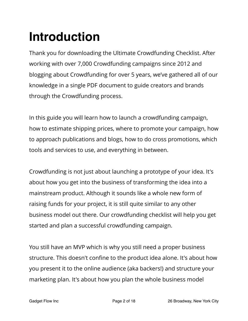# **Introduction**

Thank you for downloading the Ultimate Crowdfunding Checklist. After working with over 7,000 Crowdfunding campaigns since 2012 and blogging about Crowdfunding for over 5 years, we've gathered all of our knowledge in a single PDF document to guide creators and brands through the Crowdfunding process.

In this guide you will learn how to launch a crowdfunding campaign, how to estimate shipping prices, where to promote your campaign, how to approach publications and blogs, how to do cross promotions, which tools and services to use, and everything in between.

Crowdfunding is not just about launching a prototype of your idea. It's about how you get into the business of transforming the idea into a mainstream product. Although it sounds like a whole new form of raising funds for your project, it is still quite similar to any other business model out there. Our crowdfunding checklist will help you get started and plan a successful crowdfunding campaign.

You still have an MVP which is why you still need a proper business structure. This doesn't confine to the product idea alone. It's about how you present it to the online audience (aka backers!) and structure your marketing plan. It's about how you plan the whole business model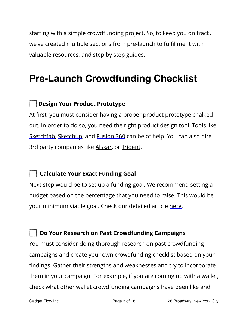starting with a simple crowdfunding project. So, to keep you on track, we've created multiple sections from pre-launch to fulfillment with valuable resources, and step by step guides.

# **Pre-Launch Crowdfunding Checklist**

### **Design Your Product Prototype**

At first, you must consider having a proper product prototype chalked out. In order to do so, you need the right product design tool. Tools like [Sketchfab,](https://sketchfab.com/) [Sketchup,](https://www.sketchup.com/) and [Fusion 360](http://www.autodesk.com/products/fusion-360/overview) can be of help. You can also hire 3rd party companies like [Alskar,](https://www.alskar.com/?gclid=Cj0KCQiApt_xBRDxARIsAAMUMu8amhEFwpx-d81jakcrWxiZxZnNkE3PyDWmkYolX2374o46Fj5jzjwaAtzXEALw_wcB) or [Trident.](http://home.trident-design.com/)

#### **Calculate Your Exact Funding Goal**

Next step would be to set up a funding goal. We recommend setting a budget based on the percentage that you need to raise. This would be your minimum viable goal. Check our detailed article [here](http://thegadgetflow.com/blog/calculate-crowdfunding-goal/).

#### **Do Your Research on Past Crowdfunding Campaigns**

You must consider doing thorough research on past crowdfunding campaigns and create your own crowdfunding checklist based on your findings. Gather their strengths and weaknesses and try to incorporate them in your campaign. For example, if you are coming up with a wallet, check what other wallet crowdfunding campaigns have been like and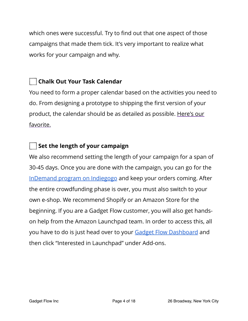which ones were successful. Try to find out that one aspect of those campaigns that made them tick. It's very important to realize what works for your campaign and why.

# **Chalk Out Your Task Calendar**

You need to form a proper calendar based on the activities you need to do. From designing a prototype to shipping the first version of your product, the calendar should be as detailed as possible. [Here's our](https://go.indiegogo.com/blog/2015/12/crowdfunding-prep-calendar-checklist.html)  [favorite.](https://go.indiegogo.com/blog/2015/12/crowdfunding-prep-calendar-checklist.html)

# **Set the length of your campaign**

We also recommend setting the length of your campaign for a span of 30-45 days. Once you are done with the campaign, you can go for the [InDemand program on Indiegogo](https://entrepreneur.indiegogo.com/how-it-works/indemand/) and keep your orders coming. After the entire crowdfunding phase is over, you must also switch to your own e-shop. We recommend Shopify or an Amazon Store for the beginning. If you are a Gadget Flow customer, you will also get handson help from the Amazon Launchpad team. In order to access this, all you have to do is just head over to your [Gadget Flow Dashboard](https://thegadgetflow.com/dashboard/) and then click "Interested in Launchpad" under Add-ons.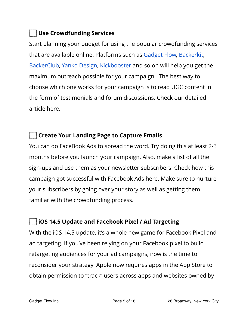# **Use Crowdfunding Services**

Start planning your budget for using the popular crowdfunding services that are available online. Platforms such as [Gadget Flow,](https://thegadgetflow.com/submit/) [Backerkit,](https://www.backerkit.com/) [BackerClub,](https://backerclub.co/homepage.php) [Yanko Design](https://www.yankodesign.com/), [Kickbooster](https://kickbooster.me/) and so on will help you get the maximum outreach possible for your campaign. The best way to choose which one works for your campaign is to read UGC content in the form of testimonials and forum discussions. Check our detailed article [here](http://thegadgetflow.com/blog/crowdfunding-project-promotion/).

# **Create Your Landing Page to Capture Emails**

You can do FaceBook Ads to spread the word. Try doing this at least 2-3 months before you launch your campaign. Also, make a list of all the sign-ups and use them as your newsletter subscribers. Check how this [campaign got successful with Facebook Ads here.](http://thegadgetflow.com/blog/facebook-ads-can-help-raise-pledges-kickstarter/) Make sure to nurture your subscribers by going over your story as well as getting them familiar with the crowdfunding process.

# **iOS 14.5 Update and Facebook Pixel / Ad Targeting**

With the iOS 14.5 update, it's a whole new game for Facebook Pixel and ad targeting. If you've been relying on your Facebook pixel to build retargeting audiences for your ad campaigns, now is the time to reconsider your strategy. Apple now requires apps in the App Store to obtain permission to "track" users across apps and websites owned by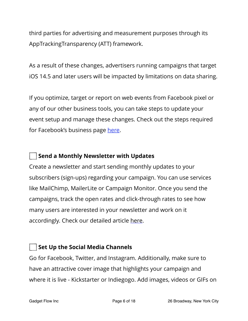third parties for advertising and measurement purposes through its AppTrackingTransparency (ATT) framework.

As a result of these changes, advertisers running campaigns that target iOS 14.5 and later users will be impacted by limitations on data sharing.

If you optimize, target or report on web events from [Facebook pixel](https://www.facebook.com/business/help/742478679120153?id=1205376682832142) or any of our other business tools, you can take steps to update your event setup and manage these changes. Check out the steps required for Facebook's business page [here](https://www.facebook.com/business/help/126789292407737?id=1205376682832142).

# **Send a Monthly Newsletter with Updates**

Create a newsletter and start sending monthly updates to your subscribers (sign-ups) regarding your campaign. You can use services like MailChimp, MailerLite or Campaign Monitor. Once you send the campaigns, track the open rates and click-through rates to see how many users are interested in your newsletter and work on it accordingly. Check our detailed article [here.](http://thegadgetflow.com/blog/ecommerce-email-marketing-how-to-turn-leads-into-valuable-customers/)

# **Set Up the Social Media Channels**

Go for Facebook, Twitter, and Instagram. Additionally, make sure to have an attractive cover image that highlights your campaign and where it is live - Kickstarter or Indiegogo. Add images, videos or GIFs on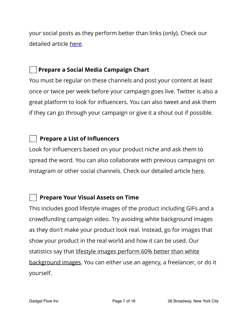your social posts as they perform better than links (only). Check our detailed article [here.](http://thegadgetflow.com/blog/get-crowdfunding-backers-social-media-marketing/)

#### **Prepare a Social Media Campaign Chart**

You must be regular on these channels and post your content at least once or twice per week before your campaign goes live. Twitter is also a great platform to look for influencers. You can also tweet and ask them if they can go through your campaign or give it a shout out if possible.

# **Prepare a List of Influencers**

Look for influencers based on your product niche and ask them to spread the word. You can also collaborate with previous campaigns on Instagram or other social channels. Check our detailed article [here.](http://thegadgetflow.com/blog/find-influential-backers-crowdfunding-campaign/)

# **Prepare Your Visual Assets on Time**

This includes good lifestyle images of the product including GIFs and a crowdfunding campaign video. Try avoiding white background images as they don't make your product look real. Instead, go for images that show your product in the real world and how it can be used. Our statistics say that lifestyle images perform 60% better than white [background images.](https://thegadgetflow.com/blog/lifestyle-photos-vs-white-background-photos-which-one-works-best-and-why/) You can either use an agency, a freelancer, or do it yourself.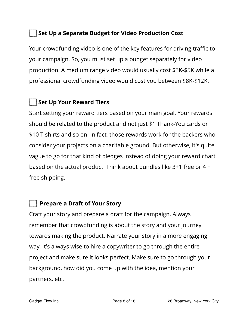#### **Set Up a Separate Budget for Video Production Cost**

Your crowdfunding video is one of the key features for driving traffic to your campaign. So, you must set up a budget separately for video production. A medium range video would usually cost \$3K-\$5K while a professional crowdfunding video would cost you between \$8K-\$12K.

# **Set Up Your Reward Tiers**

Start setting your reward tiers based on your main goal. Your rewards should be related to the product and not just \$1 Thank-You cards or \$10 T-shirts and so on. In fact, those rewards work for the backers who consider your projects on a charitable ground. But otherwise, it's quite vague to go for that kind of pledges instead of doing your reward chart based on the actual product. Think about bundles like 3+1 free or 4 + free shipping.

#### **Prepare a Draft of Your Story**

Craft your story and prepare a draft for the campaign. Always remember that crowdfunding is about the story and your journey towards making the product. Narrate your story in a more engaging way. It's always wise to hire a copywriter to go through the entire project and make sure it looks perfect. Make sure to go through your background, how did you come up with the idea, mention your partners, etc.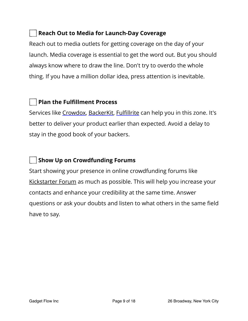#### **Reach Out to Media for Launch-Day Coverage**

Reach out to media outlets for getting coverage on the day of your launch. Media coverage is essential to get the word out. But you should always know where to draw the line. Don't try to overdo the whole thing. If you have a million dollar idea, press attention is inevitable.

# **Plan the Fulfillment Process**

Services like [Crowdox,](http://crowdox.com/?utm_source=GADGETFLOW&utm_campaign=GADGETFLOW&utm_term=GADGETFLOW) [BackerKit](http://backerkit.com/), Fulfi[llrite](http://thegadgetflow.com/blog/fulfillrite-a-reliable-one-stop-solution-for-ecommerce-or-crowdfunding-order-fulfillment/) can help you in this zone. It's better to deliver your product earlier than expected. Avoid a delay to stay in the good book of your backers.

# **Show Up on Crowdfunding Forums**

Start showing your presence in online crowdfunding forums like [Kickstarter Forum](https://kickstarterforum.org) as much as possible. This will help you increase your contacts and enhance your credibility at the same time. Answer questions or ask your doubts and listen to what others in the same field have to say.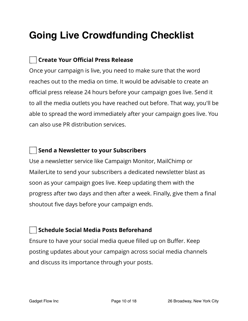# **Going Live Crowdfunding Checklist**

# **Create Your Official Press Release**

Once your campaign is live, you need to make sure that the word reaches out to the media on time. It would be advisable to create an official press release 24 hours before your campaign goes live. Send it to all the media outlets you have reached out before. That way, you'll be able to spread the word immediately after your campaign goes live. You can also use PR distribution services.

### **Send a Newsletter to your Subscribers**

Use a newsletter service like Campaign Monitor, MailChimp or MailerLite to send your subscribers a dedicated newsletter blast as soon as your campaign goes live. Keep updating them with the progress after two days and then after a week. Finally, give them a final shoutout five days before your campaign ends.

# **Schedule Social Media Posts Beforehand**

Ensure to have your social media queue filled up on Buffer. Keep posting updates about your campaign across social media channels and discuss its importance through your posts.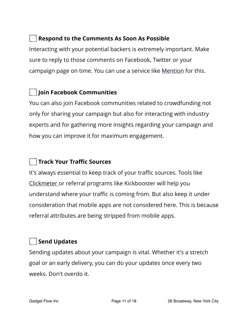### **Respond to the Comments As Soon As Possible**

Interacting with your potential backers is extremely important. Make sure to reply to those comments on Facebook, Twitter or your campaign page on time. You can use a service like [Mention](http://mention.com/) for this.

# **Join Facebook Communities**

You can also join Facebook communities related to crowdfunding not only for sharing your campaign but also for interacting with industry experts and for gathering more insights regarding your campaign and how you can improve it for maximum engagement.

# **Track Your Traffic Sources**

It's always essential to keep track of your traffic sources. Tools like [Clickmeter o](https://shareasale.com/r.cfm?b=556594&u=1870397&m=51172&urllink=&afftrack=)r referral programs like Kickbooster will help you understand where your traffic is coming from. But also keep it under consideration that mobile apps are not considered here. This is because referral attributes are being stripped from mobile apps.

# **Send Updates**

Sending updates about your campaign is vital. Whether it's a stretch goal or an early delivery, you can do your updates once every two weeks. Don't overdo it.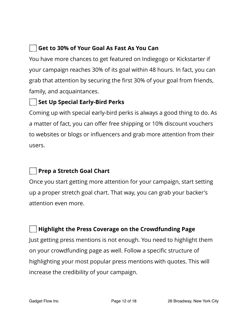# **Get to 30% of Your Goal As Fast As You Can**

You have more chances to get featured on Indiegogo or Kickstarter if your campaign reaches 30% of its goal within 48 hours. In fact, you can grab that attention by securing the first 30% of your goal from friends, family, and acquaintances.

# **Set Up Special Early-Bird Perks**

Coming up with special early-bird perks is always a good thing to do. As a matter of fact, you can offer free shipping or 10% discount vouchers to websites or blogs or influencers and grab more attention from their users.

# **Prep a Stretch Goal Chart**

Once you start getting more attention for your campaign, start setting up a proper stretch goal chart. That way, you can grab your backer's attention even more.

#### **Highlight the Press Coverage on the Crowdfunding Page**

Just getting press mentions is not enough. You need to highlight them on your crowdfunding page as well. Follow a specific structure of highlighting your most popular press mentions with quotes. This will increase the credibility of your campaign.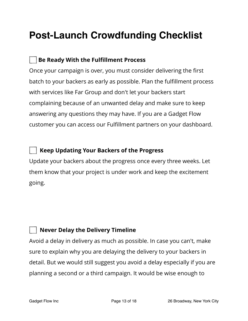# **Post-Launch Crowdfunding Checklist**

# **Be Ready With the Fulfillment Process**

Once your campaign is over, you must consider delivering the first batch to your backers as early as possible. Plan the fulfillment process with services like Far Group and don't let your backers start complaining because of an unwanted delay and make sure to keep answering any questions they may have. If you are a Gadget Flow customer you can access our Fulfillment partners on your dashboard.

#### **Keep Updating Your Backers of the Progress**

Update your backers about the progress once every three weeks. Let them know that your project is under work and keep the excitement going.

#### **Never Delay the Delivery Timeline**

Avoid a delay in delivery as much as possible. In case you can't, make sure to explain why you are delaying the delivery to your backers in detail. But we would still suggest you avoid a delay especially if you are planning a second or a third campaign. It would be wise enough to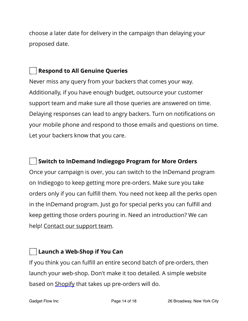choose a later date for delivery in the campaign than delaying your proposed date.

# **Respond to All Genuine Queries**

Never miss any query from your backers that comes your way. Additionally, if you have enough budget, outsource your customer support team and make sure all those queries are answered on time. Delaying responses can lead to angry backers. Turn on notifications on your mobile phone and respond to those emails and questions on time. Let your backers know that you care.

# **Switch to InDemand Indiegogo Program for More Orders**

Once your campaign is over, you can switch to the InDemand program on Indiegogo to keep getting more pre-orders. Make sure you take orders only if you can fulfill them. You need not keep all the perks open in the InDemand program. Just go for special perks you can fulfill and keep getting those orders pouring in. Need an introduction? We can help! [Contact our support team.](https://thegadgetflow.com/contact/)

# **Launch a Web-Shop if You Can**

If you think you can fulfill an entire second batch of pre-orders, then launch your web-shop. Don't make it too detailed. A simple website based on [Shopify](http://shopify.com/) that takes up pre-orders will do.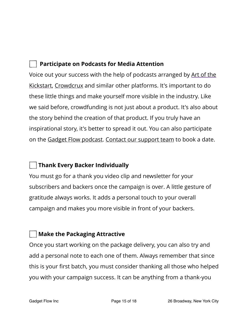# **Participate on Podcasts for Media Attention**

Voice out your success with the help of podcasts arranged by [Art of the](http://artofthekickstart.com/)  [Kickstart](http://artofthekickstart.com/), [Crowdcrux](http://crowdcrux.com/) and similar other platforms. It's important to do these little things and make yourself more visible in the industry. Like we said before, crowdfunding is not just about a product. It's also about the story behind the creation of that product. If you truly have an inspirational story, it's better to spread it out. You can also participate on the [Gadget Flow podcast.](https://podcast.thegadgetflow.com/) [Contact our support team](https://thegadgetflow.com/contact/) to book a date.

# **Thank Every Backer Individually**

You must go for a thank you video clip and newsletter for your subscribers and backers once the campaign is over. A little gesture of gratitude always works. It adds a personal touch to your overall campaign and makes you more visible in front of your backers.

#### **Make the Packaging Attractive**

Once you start working on the package delivery, you can also try and add a personal note to each one of them. Always remember that since this is your first batch, you must consider thanking all those who helped you with your campaign success. It can be anything from a thank-you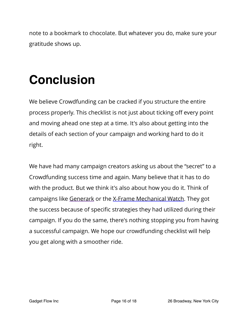note to a bookmark to chocolate. But whatever you do, make sure your gratitude shows up.

# **Conclusion**

We believe Crowdfunding can be cracked if you structure the entire process properly. This checklist is not just about ticking off every point and moving ahead one step at a time. It's also about getting into the details of each section of your campaign and working hard to do it right.

We have had many campaign creators asking us about the "secret" to a Crowdfunding success time and again. Many believe that it has to do with the product. But we think it's also about how you do it. Think of campaigns like [Generark](https://thegadgetflow.com/portfolio/generark-solar-generator-provides-home-emergency-power-supply/) or the [X-Frame Mechanical Watch](http://thegadgetflow.com/blog/facebook-ads-can-help-raise-pledges-kickstarter/). They got the success because of specific strategies they had utilized during their campaign. If you do the same, there's nothing stopping you from having a successful campaign. We hope our crowdfunding checklist will help you get along with a smoother ride.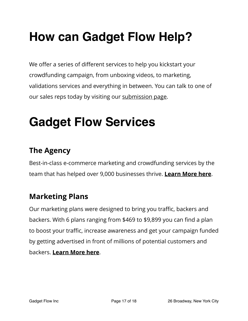# **How can Gadget Flow Help?**

We offer a series of different services to help you kickstart your crowdfunding campaign, from unboxing videos, to marketing, validations services and everything in between. You can talk to one of our sales reps today by visiting our [submission page.](https://thegadgetflow.com/submit/)

# **Gadget Flow Services**

# **The Agency**

Best-in-class e-commerce marketing and crowdfunding services by the team that has helped over 9,000 businesses thrive. **[Learn More here](https://thegadgetflow.com/agency)**.

# **Marketing Plans**

Our marketing plans were designed to bring you traffic, backers and backers. With 6 plans ranging from \$469 to \$9,899 you can find a plan to boost your traffic, increase awareness and get your campaign funded by getting advertised in front of millions of potential customers and backers. **[Learn More here](https://thegadgetflow.com/submit/?ref=1)**.